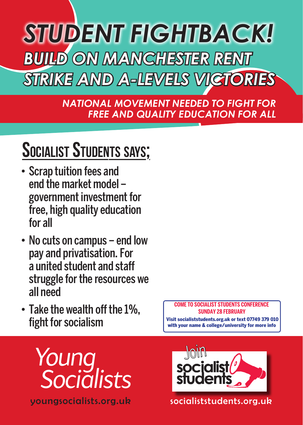

*NATIONAL MOVEMENT NEEDED TO FIGHT FOR FREE AND QUALITY EDUCATION FOR ALL*

## SOCIALIST STUDENTS SAYS;

- • Scrap tuition fees and end the market model – government investment for free, high quality education for all
- No cuts on campus end low pay and privatisation.For a united student and staff struggle for the resources we all need
- Take the wealth off the 1%, fight for socialism

**COME TO SOCIALIST STUDENTS CONFERENCE SUNDAY 28 FEBRUARY**  Visit socialiststudents.org.uk or text 07749 379 010 with your name & college/university for more info



youngsocialists.org.uk



socialiststudents.org.uk